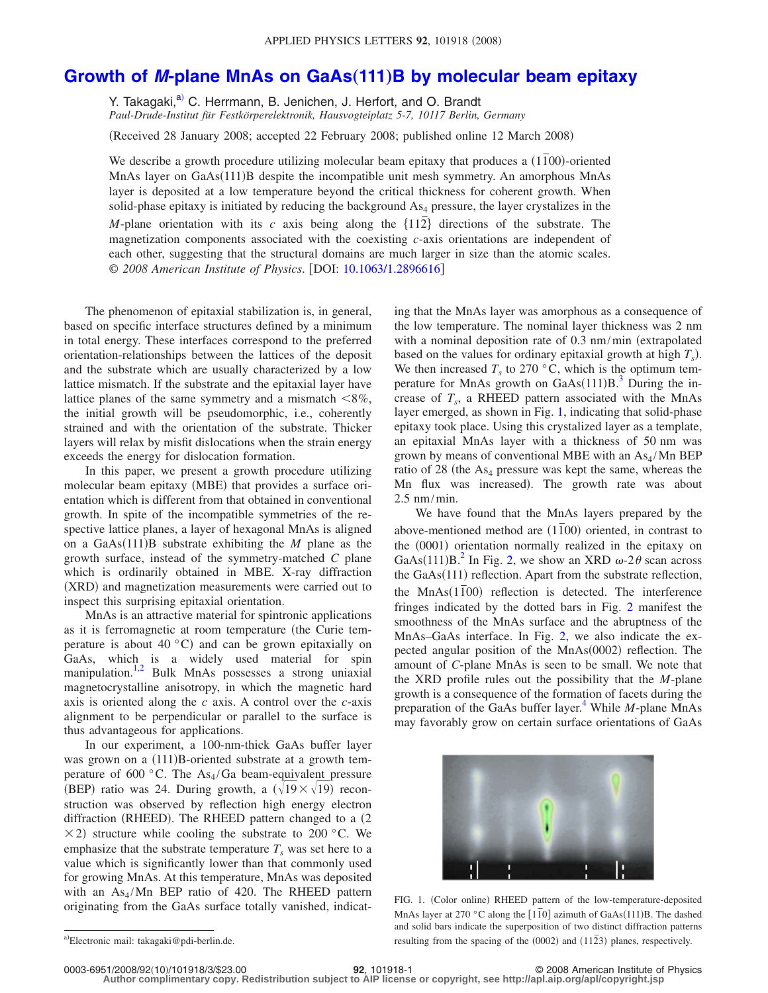## Growth of *M*-plane MnAs on GaAs(111)[B by molecular beam epitaxy](http://dx.doi.org/10.1063/1.2896616)

Y. Takagaki,<sup>a)</sup> C. Herrmann, B. Jenichen, J. Herfort, and O. Brandt *Paul-Drude-Institut für Festkörperelektronik, Hausvogteiplatz 5-7, 10117 Berlin, Germany*

(Received 28 January 2008; accepted 22 February 2008; published online 12 March 2008)

We describe a growth procedure utilizing molecular beam epitaxy that produces a  $(1\bar{1}00)$ -oriented MnAs layer on GaAs(111)B despite the incompatible unit mesh symmetry. An amorphous MnAs layer is deposited at a low temperature beyond the critical thickness for coherent growth. When solid-phase epitaxy is initiated by reducing the background  $As<sub>4</sub>$  pressure, the layer crystalizes in the *M*-plane orientation with its  $c$  axis being along the  $\{112\}$  directions of the substrate. The magnetization components associated with the coexisting *c*-axis orientations are independent of each other, suggesting that the structural domains are much larger in size than the atomic scales. © 2008 American Institute of Physics. [DOI: [10.1063/1.2896616](http://dx.doi.org/10.1063/1.2896616)]

The phenomenon of epitaxial stabilization is, in general, based on specific interface structures defined by a minimum in total energy. These interfaces correspond to the preferred orientation-relationships between the lattices of the deposit and the substrate which are usually characterized by a low lattice mismatch. If the substrate and the epitaxial layer have lattice planes of the same symmetry and a mismatch  $< 8\%$ , the initial growth will be pseudomorphic, i.e., coherently strained and with the orientation of the substrate. Thicker layers will relax by misfit dislocations when the strain energy exceeds the energy for dislocation formation.

In this paper, we present a growth procedure utilizing molecular beam epitaxy (MBE) that provides a surface orientation which is different from that obtained in conventional growth. In spite of the incompatible symmetries of the respective lattice planes, a layer of hexagonal MnAs is aligned on a  $GaAs(111)B$  substrate exhibiting the  $M$  plane as the growth surface, instead of the symmetry-matched *C* plane which is ordinarily obtained in MBE. X-ray diffraction (XRD) and magnetization measurements were carried out to inspect this surprising epitaxial orientation.

MnAs is an attractive material for spintronic applications as it is ferromagnetic at room temperature (the Curie temperature is about 40 $\degree$ C) and can be grown epitaxially on GaAs, which is a widely used material for spin manipulation.<sup>1[,2](#page-2-1)</sup> Bulk MnAs possesses a strong uniaxial magnetocrystalline anisotropy, in which the magnetic hard axis is oriented along the *c* axis. A control over the *c*-axis alignment to be perpendicular or parallel to the surface is thus advantageous for applications.

In our experiment, a 100-nm-thick GaAs buffer layer was grown on a (111)B-oriented substrate at a growth temperature of 600 °C. The  $As<sub>4</sub>/Ga$  beam-equivalent pressure (BEP) ratio was 24. During growth, a  $(\sqrt{19} \times \sqrt{19})$  reconstruction was observed by reflection high energy electron diffraction (RHEED). The RHEED pattern changed to a (2  $\times$  2) structure while cooling the substrate to 200 °C. We emphasize that the substrate temperature  $T<sub>s</sub>$  was set here to a value which is significantly lower than that commonly used for growing MnAs. At this temperature, MnAs was deposited with an  $As<sub>4</sub>/Mn$  BEP ratio of 420. The RHEED pattern originating from the GaAs surface totally vanished, indicating that the MnAs layer was amorphous as a consequence of the low temperature. The nominal layer thickness was 2 nm with a nominal deposition rate of  $0.3 \text{ nm/min}$  (extrapolated based on the values for ordinary epitaxial growth at high  $T_s$ ). We then increased  $T_s$  to 270 °C, which is the optimum temperature for MnAs growth on  $GaAs(111)B$ .<sup>3</sup> During the increase of  $T_s$ , a RHEED pattern associated with the MnAs layer emerged, as shown in Fig. [1,](#page-0-1) indicating that solid-phase epitaxy took place. Using this crystalized layer as a template, an epitaxial MnAs layer with a thickness of 50 nm was grown by means of conventional MBE with an  $As<sub>4</sub>/Mn$  BEP ratio of  $28$  (the As<sub>4</sub> pressure was kept the same, whereas the Mn flux was increased). The growth rate was about 2.5 nm/min.

We have found that the MnAs layers prepared by the above-mentioned method are  $(1\bar{1}00)$  oriented, in contrast to the (0001) orientation normally realized in the epitaxy on GaAs(111)B.<sup>2</sup> In Fig. [2,](#page-1-0) we show an XRD  $\omega$ -2 $\theta$  scan across the GaAs(111) reflection. Apart from the substrate reflection, the MnAs(1<sup>1</sup>0) extended repair from the substitute extremely,<br>the MnAs(1<sup>1</sup>00) reflection is detected. The interference fringes indicated by the dotted bars in Fig. [2](#page-1-0) manifest the smoothness of the MnAs surface and the abruptness of the MnAs–GaAs interface. In Fig. [2,](#page-1-0) we also indicate the expected angular position of the MnAs(0002) reflection. The amount of *C*-plane MnAs is seen to be small. We note that the XRD profile rules out the possibility that the *M*-plane growth is a consequence of the formation of facets during the preparation of the GaAs buffer layer.<sup>4</sup> While *M*-plane MnAs may favorably grow on certain surface orientations of GaAs

<span id="page-0-1"></span>

FIG. 1. (Color online) RHEED pattern of the low-temperature-deposited MnAs layer at  $270^\circ$ C along the  $[1\overline{1}0]$  azimuth of GaAs(111)B. The dashed and solid bars indicate the superposition of two distinct diffraction patterns resulting from the spacing of the  $(0002)$  and  $(11\overline{2}3)$  planes, respectively.

**Author complimentary copy. Redistribution subject to AIP license or copyright, see http://apl.aip.org/apl/copyright.jsp**

<span id="page-0-0"></span>a)Electronic mail: takagaki@pdi-berlin.de.

**<sup>92</sup>**, 101918-1 © 2008 American Institute of Physics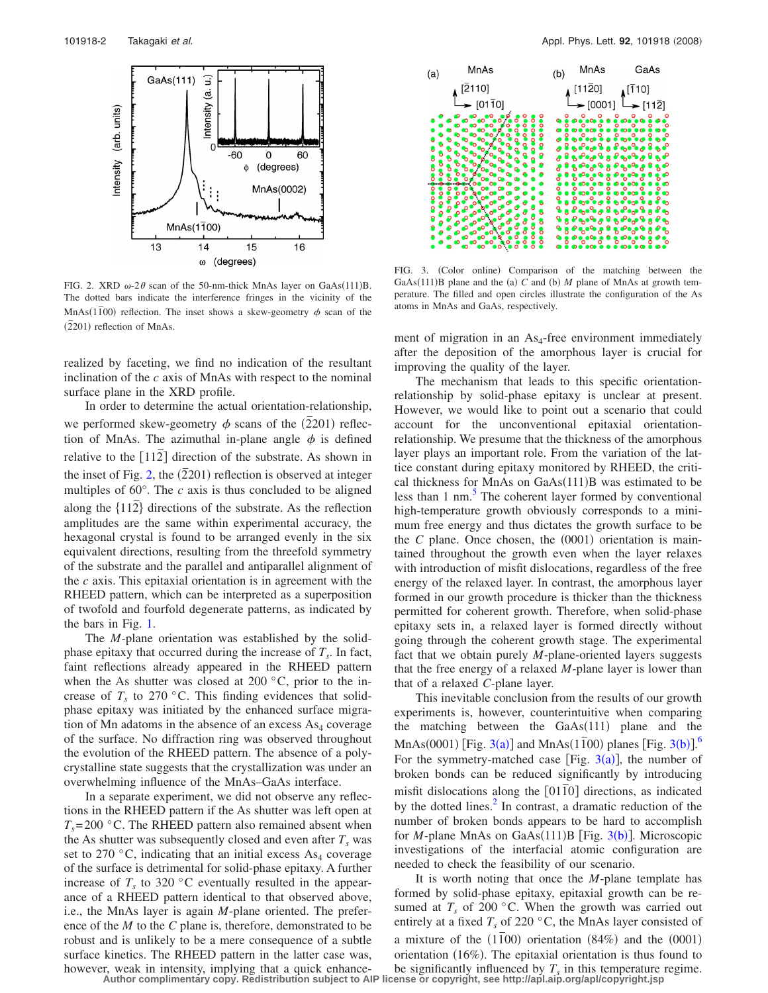<span id="page-1-0"></span>

FIG. 2. XRD  $\omega$ -2 $\theta$  scan of the 50-nm-thick MnAs layer on GaAs(111)B. The dotted bars indicate the interference fringes in the vicinity of the MnAs( $1\overline{1}00$ ) reflection. The inset shows a skew-geometry  $\phi$  scan of the  $(\overline{2}201)$  reflection of MnAs.

realized by faceting, we find no indication of the resultant inclination of the *c* axis of MnAs with respect to the nominal surface plane in the XRD profile.

In order to determine the actual orientation-relationship, we performed skew-geometry  $\phi$  scans of the  $(2201)$  reflection of MnAs. The azimuthal in-plane angle  $\phi$  is defined relative to the 112*¯* direction of the substrate. As shown in the inset of Fig. [2,](#page-1-0) the  $(2201)$  reflection is observed at integer multiples of 60°. The *c* axis is thus concluded to be aligned along the  ${112}$ <sup>directions</sup> of the substrate. As the reflection amplitudes are the same within experimental accuracy, the hexagonal crystal is found to be arranged evenly in the six equivalent directions, resulting from the threefold symmetry of the substrate and the parallel and antiparallel alignment of the *c* axis. This epitaxial orientation is in agreement with the RHEED pattern, which can be interpreted as a superposition of twofold and fourfold degenerate patterns, as indicated by the bars in Fig. [1.](#page-0-1)

The *M*-plane orientation was established by the solidphase epitaxy that occurred during the increase of  $T<sub>s</sub>$ . In fact, faint reflections already appeared in the RHEED pattern when the As shutter was closed at 200  $\degree$ C, prior to the increase of  $T_s$  to 270 °C. This finding evidences that solidphase epitaxy was initiated by the enhanced surface migration of Mn adatoms in the absence of an excess  $As<sub>4</sub>$  coverage of the surface. No diffraction ring was observed throughout the evolution of the RHEED pattern. The absence of a polycrystalline state suggests that the crystallization was under an overwhelming influence of the MnAs–GaAs interface.

In a separate experiment, we did not observe any reflections in the RHEED pattern if the As shutter was left open at  $T_s$ = 200 °C. The RHEED pattern also remained absent when the As shutter was subsequently closed and even after  $T_s$  was set to 270 °C, indicating that an initial excess  $As_4$  coverage of the surface is detrimental for solid-phase epitaxy. A further increase of  $T<sub>s</sub>$  to 320 °C eventually resulted in the appearance of a RHEED pattern identical to that observed above, i.e., the MnAs layer is again *M*-plane oriented. The preference of the *M* to the *C* plane is, therefore, demonstrated to be robust and is unlikely to be a mere consequence of a subtle surface kinetics. The RHEED pattern in the latter case was, however, weak in intensity, implying that a quick enhance-

<span id="page-1-1"></span>

FIG. 3. (Color online) Comparison of the matching between the GaAs $(111)$ B plane and the (a) C and (b) M plane of MnAs at growth temperature. The filled and open circles illustrate the configuration of the As atoms in MnAs and GaAs, respectively.

ment of migration in an  $As<sub>4</sub>$ -free environment immediately after the deposition of the amorphous layer is crucial for improving the quality of the layer.

The mechanism that leads to this specific orientationrelationship by solid-phase epitaxy is unclear at present. However, we would like to point out a scenario that could account for the unconventional epitaxial orientationrelationship. We presume that the thickness of the amorphous layer plays an important role. From the variation of the lattice constant during epitaxy monitored by RHEED, the critical thickness for MnAs on GaAs(111)B was estimated to be less than  $1 \text{ nm}$ .<sup>5</sup> The coherent layer formed by conventional high-temperature growth obviously corresponds to a minimum free energy and thus dictates the growth surface to be the  $C$  plane. Once chosen, the  $(0001)$  orientation is maintained throughout the growth even when the layer relaxes with introduction of misfit dislocations, regardless of the free energy of the relaxed layer. In contrast, the amorphous layer formed in our growth procedure is thicker than the thickness permitted for coherent growth. Therefore, when solid-phase epitaxy sets in, a relaxed layer is formed directly without going through the coherent growth stage. The experimental fact that we obtain purely *M*-plane-oriented layers suggests that the free energy of a relaxed *M*-plane layer is lower than that of a relaxed *C*-plane layer.

This inevitable conclusion from the results of our growth experiments is, however, counterintuitive when comparing the matching between the  $GaAs(111)$  plane and the MnAs(0001) [Fig. [3](#page-1-1)(a)] and MnAs( $1\overline{1}00$  planes [Fig. 3(b)].<sup>[6](#page-2-5)</sup> For the symmetry-matched case [Fig.  $3(a)$  $3(a)$ ], the number of broken bonds can be reduced significantly by introducing misfit dislocations along the [0110] directions, as indicated by the dotted lines. $^{2}$  In contrast, a dramatic reduction of the number of broken bonds appears to be hard to accomplish for *M*-plane MnAs on GaAs(111)B [Fig. [3](#page-1-1)(b)]. Microscopic investigations of the interfacial atomic configuration are needed to check the feasibility of our scenario.

It is worth noting that once the *M*-plane template has formed by solid-phase epitaxy, epitaxial growth can be resumed at  $T_s$  of 200 °C. When the growth was carried out entirely at a fixed  $T_s$  of 220  $\degree$ C, the MnAs layer consisted of a mixture of the  $(1\overline{1}00)$  orientation  $(84%)$  and the  $(0001)$ orientation (16%). The epitaxial orientation is thus found to be significantly influenced by  $T<sub>s</sub>$  in this temperature regime.

**Author complimentary copy. Redistribution subject to AIP license or copyright, see http://apl.aip.org/apl/copyright.jsp**